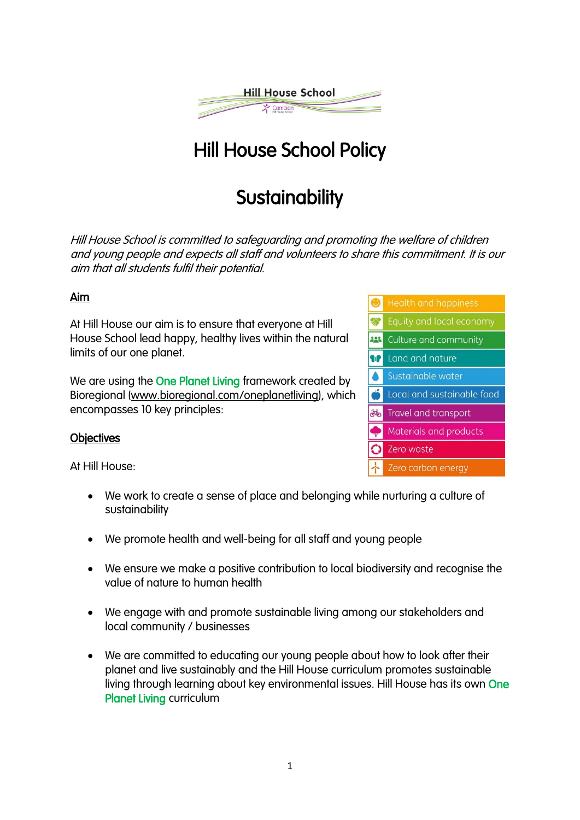

# Hill House School Policy

## **Sustainability**

Hill House School is committed to safeguarding and promoting the welfare of children and young people and expects all staff and volunteers to share this commitment. It is our aim that all students fulfil their potential.

### Aim

At Hill House our aim is to ensure that everyone at Hill House School lead happy, healthy lives within the natural limits of our one planet.

We are using the **One Planet Living** framework created by Bioregional [\(www.bioregional.com/oneplanetliving\)](http://www.bioregional.com/oneplanetliving), which encompasses 10 key principles:

### **Objectives**

At Hill House:

- We work to create a sense of place and belonging while nurturing a culture of sustainability
- We promote health and well-being for all staff and young people
- We ensure we make a positive contribution to local biodiversity and recognise the value of nature to human health
- We engage with and promote sustainable living among our stakeholders and local community / businesses
- We are committed to educating our young people about how to look after their planet and live sustainably and the Hill House curriculum promotes sustainable living through learning about key environmental issues. Hill House has its own One Planet Living curriculum

| ◉       | <b>Health and happiness</b> |
|---------|-----------------------------|
|         | Equity and local economy    |
| 223     | Culture and community       |
| a.      | Land and nature             |
|         | Sustainable water           |
|         | Local and sustainable food  |
| .<br>No | Travel and transport        |
|         | Materials and products      |
|         | Zero waste                  |
|         | Zero carbon energy          |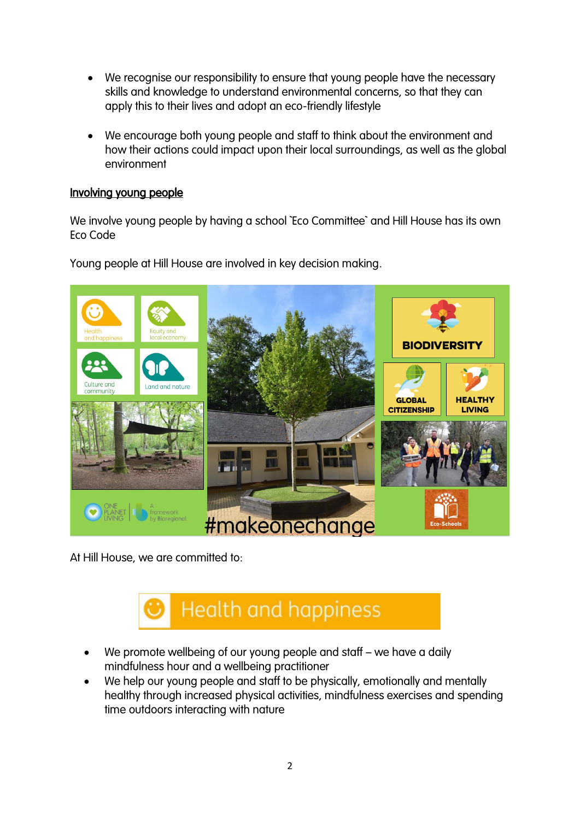- We recognise our responsibility to ensure that young people have the necessary skills and knowledge to understand environmental concerns, so that they can apply this to their lives and adopt an eco-friendly lifestyle
- We encourage both young people and staff to think about the environment and how their actions could impact upon their local surroundings, as well as the global environment

### Involving young people

We involve young people by having a school `Eco Committee` and Hill House has its own Eco Code



Young people at Hill House are involved in key decision making.

At Hill House, we are committed to:



- We promote wellbeing of our young people and staff we have a daily mindfulness hour and a wellbeing practitioner
- We help our young people and staff to be physically, emotionally and mentally healthy through increased physical activities, mindfulness exercises and spending time outdoors interacting with nature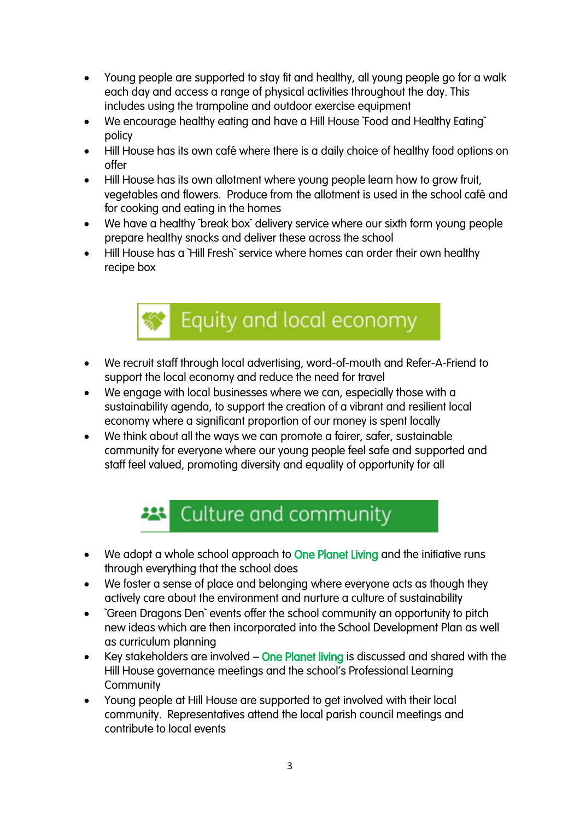- Young people are supported to stay fit and healthy, all young people go for a walk each day and access a range of physical activities throughout the day. This includes using the trampoline and outdoor exercise equipment
- We encourage healthy eating and have a Hill House `Food and Healthy Eating` policy
- Hill House has its own café where there is a daily choice of healthy food options on offer
- Hill House has its own allotment where young people learn how to grow fruit, vegetables and flowers. Produce from the allotment is used in the school café and for cooking and eating in the homes
- We have a healthy `break box` delivery service where our sixth form young people prepare healthy snacks and deliver these across the school
- Hill House has a `Hill Fresh` service where homes can order their own healthy recipe box



- We recruit staff through local advertising, word-of-mouth and Refer-A-Friend to support the local economy and reduce the need for travel
- We engage with local businesses where we can, especially those with a sustainability agenda, to support the creation of a vibrant and resilient local economy where a significant proportion of our money is spent locally
- We think about all the ways we can promote a fairer, safer, sustainable community for everyone where our young people feel safe and supported and staff feel valued, promoting diversity and equality of opportunity for all

# Culture and community

- We adopt a whole school approach to One Planet Living and the initiative runs through everything that the school does
- We foster a sense of place and belonging where everyone acts as though they actively care about the environment and nurture a culture of sustainability
- `Green Dragons Den` events offer the school community an opportunity to pitch new ideas which are then incorporated into the School Development Plan as well as curriculum planning
- Key stakeholders are involved One Planet living is discussed and shared with the Hill House governance meetings and the school's Professional Learning **Community**
- Young people at Hill House are supported to get involved with their local community. Representatives attend the local parish council meetings and contribute to local events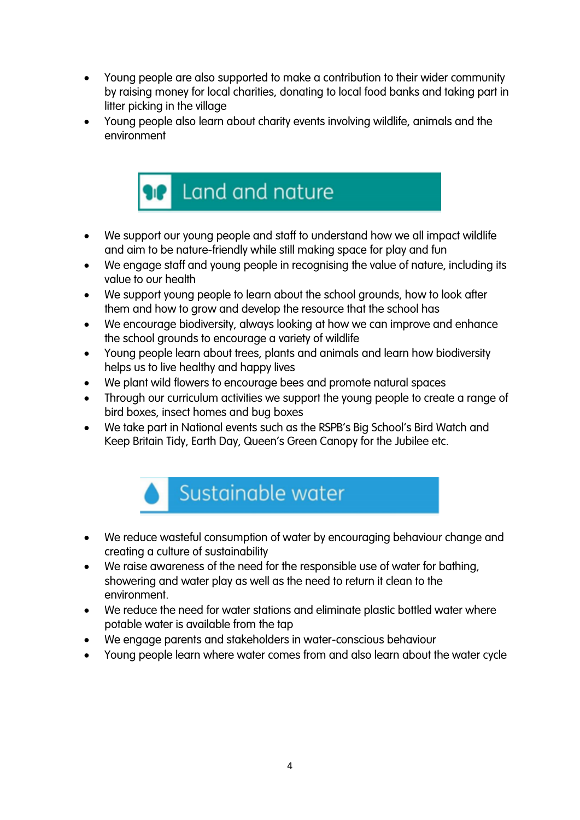- Young people are also supported to make a contribution to their wider community by raising money for local charities, donating to local food banks and taking part in litter picking in the village
- Young people also learn about charity events involving wildlife, animals and the environment



- We support our young people and staff to understand how we all impact wildlife and aim to be nature-friendly while still making space for play and fun
- We engage staff and young people in recognising the value of nature, including its value to our health
- We support young people to learn about the school grounds, how to look after them and how to grow and develop the resource that the school has
- We encourage biodiversity, always looking at how we can improve and enhance the school grounds to encourage a variety of wildlife
- Young people learn about trees, plants and animals and learn how biodiversity helps us to live healthy and happy lives
- We plant wild flowers to encourage bees and promote natural spaces
- Through our curriculum activities we support the young people to create a range of bird boxes, insect homes and bug boxes
- We take part in National events such as the RSPB's Big School's Bird Watch and Keep Britain Tidy, Earth Day, Queen's Green Canopy for the Jubilee etc.



- We reduce wasteful consumption of water by encouraging behaviour change and creating a culture of sustainability
- We raise awareness of the need for the responsible use of water for bathing, showering and water play as well as the need to return it clean to the environment.
- We reduce the need for water stations and eliminate plastic bottled water where potable water is available from the tap
- We engage parents and stakeholders in water-conscious behaviour
- Young people learn where water comes from and also learn about the water cycle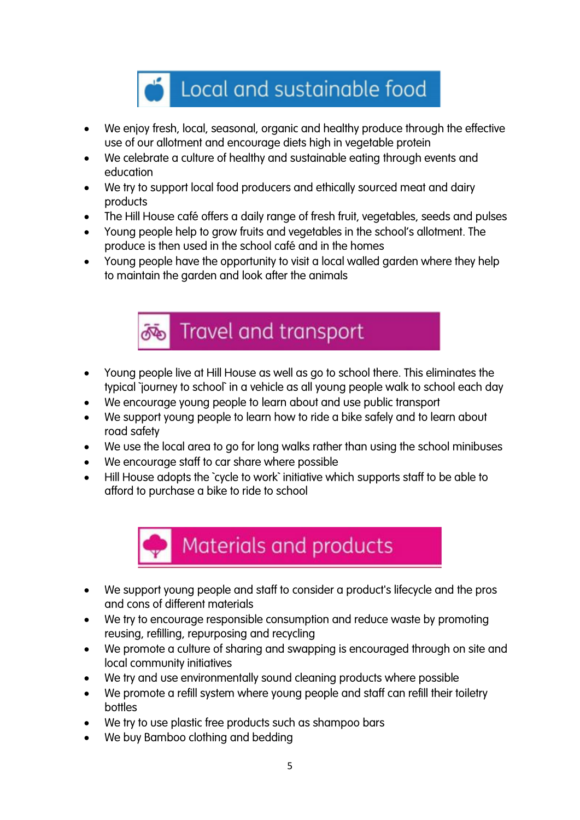

- We enjoy fresh, local, seasonal, organic and healthy produce through the effective use of our allotment and encourage diets high in vegetable protein
- We celebrate a culture of healthy and sustainable eating through events and education
- We try to support local food producers and ethically sourced meat and dairy products
- The Hill House café offers a daily range of fresh fruit, vegetables, seeds and pulses
- Young people help to grow fruits and vegetables in the school's allotment. The produce is then used in the school café and in the homes
- Young people have the opportunity to visit a local walled garden where they help to maintain the garden and look after the animals



- Young people live at Hill House as well as go to school there. This eliminates the typical `journey to school` in a vehicle as all young people walk to school each day
- We encourage young people to learn about and use public transport
- We support young people to learn how to ride a bike safely and to learn about road safety
- We use the local area to go for long walks rather than using the school minibuses
- We encourage staff to car share where possible
- Hill House adopts the `cycle to work` initiative which supports staff to be able to afford to purchase a bike to ride to school



- We support young people and staff to consider a product's lifecycle and the pros and cons of different materials
- We try to encourage responsible consumption and reduce waste by promoting reusing, refilling, repurposing and recycling
- We promote a culture of sharing and swapping is encouraged through on site and local community initiatives
- We try and use environmentally sound cleaning products where possible
- We promote a refill system where young people and staff can refill their toiletry bottles
- We try to use plastic free products such as shampoo bars
- We buy Bamboo clothing and bedding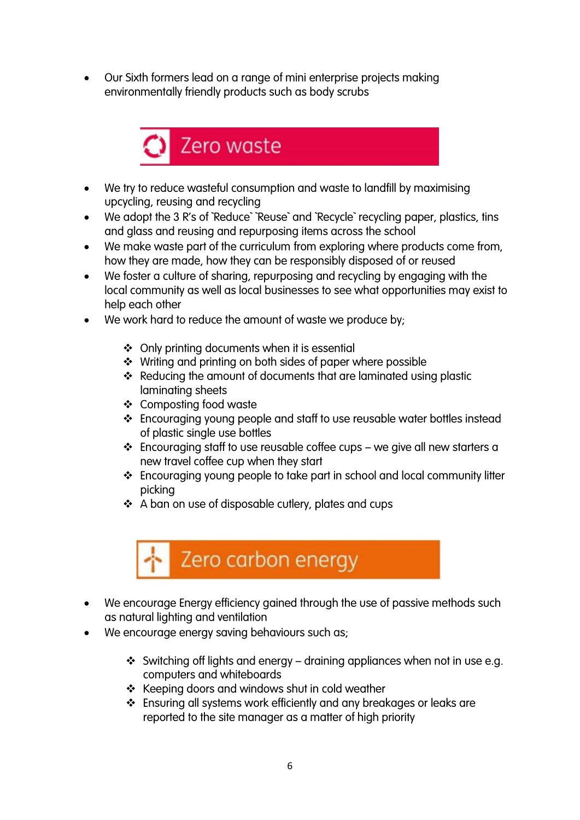• Our Sixth formers lead on a range of mini enterprise projects making environmentally friendly products such as body scrubs



- We try to reduce wasteful consumption and waste to landfill by maximising upcycling, reusing and recycling
- We adopt the 3 R's of `Reduce` `Reuse` and `Recycle` recycling paper, plastics, tins and glass and reusing and repurposing items across the school
- We make waste part of the curriculum from exploring where products come from, how they are made, how they can be responsibly disposed of or reused
- We foster a culture of sharing, repurposing and recycling by engaging with the local community as well as local businesses to see what opportunities may exist to help each other
- We work hard to reduce the amount of waste we produce by:
	- ❖ Only printing documents when it is essential
	- ❖ Writing and printing on both sides of paper where possible
	- ❖ Reducing the amount of documents that are laminated using plastic laminating sheets
	- ❖ Composting food waste
	- ❖ Encouraging young people and staff to use reusable water bottles instead of plastic single use bottles
	- ❖ Encouraging staff to use reusable coffee cups we give all new starters a new travel coffee cup when they start
	- ❖ Encouraging young people to take part in school and local community litter picking
	- ❖ A ban on use of disposable cutlery, plates and cups



- We encourage Energy efficiency gained through the use of passive methods such as natural lighting and ventilation
- We encourage energy saving behaviours such as;
	- ❖ Switching off lights and energy draining appliances when not in use e.g. computers and whiteboards
	- ❖ Keeping doors and windows shut in cold weather
	- ❖ Ensuring all systems work efficiently and any breakages or leaks are reported to the site manager as a matter of high priority